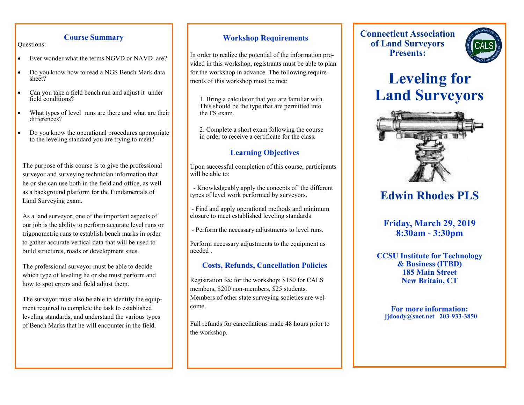### **Course Summary**

Questions:

- Ever wonder what the terms NGVD or NAVD are?
- Do you know how to read a NGS Bench Mark data sheet?
- Can you take a field bench run and adjust it under field conditions?
- What types of level runs are there and what are their differences?
- Do you know the operational procedures appropriate to the leveling standard you are trying to meet?

The purpose of this course is to give the professional surveyor and surveying technician information that he or she can use both in the field and office, as well as a background platform for the Fundamentals of Land Surveying exam.

As a land surveyor, one of the important aspects of our job is the ability to perform accurate level runs or trigonometric runs to establish bench marks in order to gather accurate vertical data that will be used to build structures, roads or development sites.

The professional surveyor must be able to decide which type of leveling he or she must perform and how to spot errors and field adjust them.

The surveyor must also be able to identify the equipment required to complete the task to established leveling standards, and understand the various types of Bench Marks that he will encounter in the field.

### **Workshop Requirements**

In order to realize the potential of the information provided in this workshop, registrants must be able to plan for the workshop in advance. The following requirements of this workshop must be met:

1. Bring a calculator that you are familiar with. This should be the type that are permitted into the FS exam.

2. Complete a short exam following the course in order to receive a certificate for the class.

## **Learning Objectives**

Upon successful completion of this course, participants will be able to:

- Knowledgeably apply the concepts of the different types of level work performed by surveyors.

- Find and apply operational methods and minimum closure to meet established leveling standards

- Perform the necessary adjustments to level runs.

Perform necessary adjustments to the equipment as needed .

# **Costs, Refunds, Cancellation Policies**

Registration fee for the workshop: \$150 for CALS members, \$200 non-members, \$25 students. Members of other state surveying societies are welcome.

Full refunds for cancellations made 48 hours prior to the workshop.

**Connecticut Association of Land Surveyors Presents:**



# **Leveling for Land Surveyors**



# **Edwin Rhodes PLS**

**Friday, March 29, 2019 8:30am - 3:30pm**

**CCSU Institute for Technology & Business (ITBD) 185 Main Street New Britain, CT**

**For more information: jjdoody@snet.net 203-933-3850**